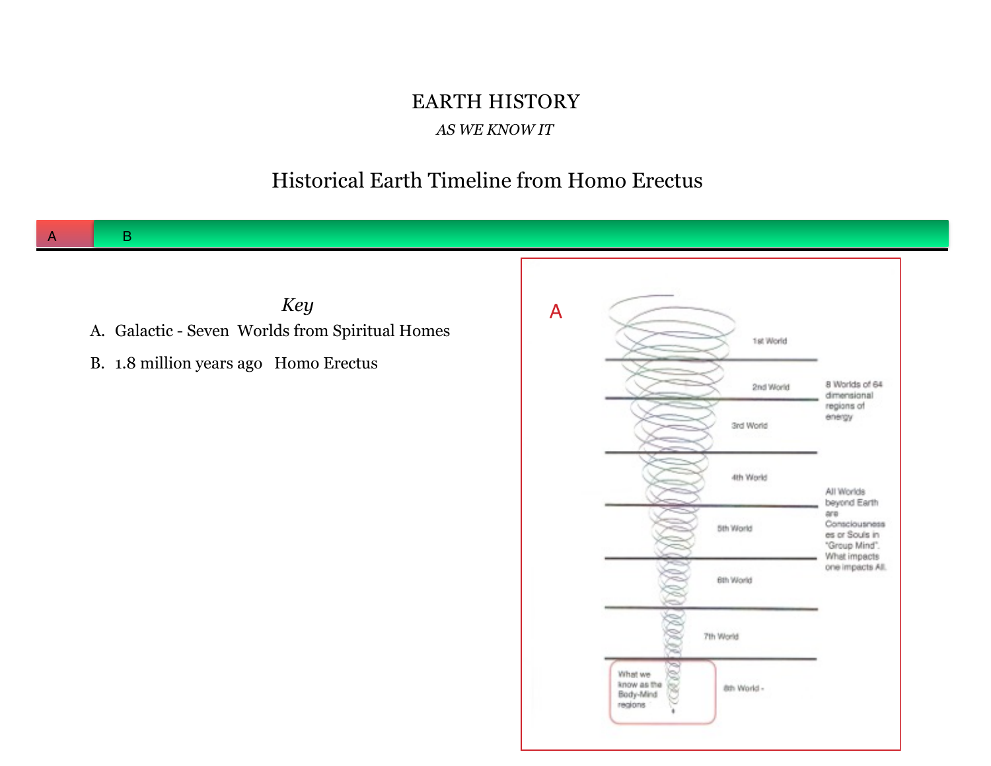# EARTH HISTORY

#### *AS WE KNOW IT*

#### Historical Earth Timeline from Homo Erectus

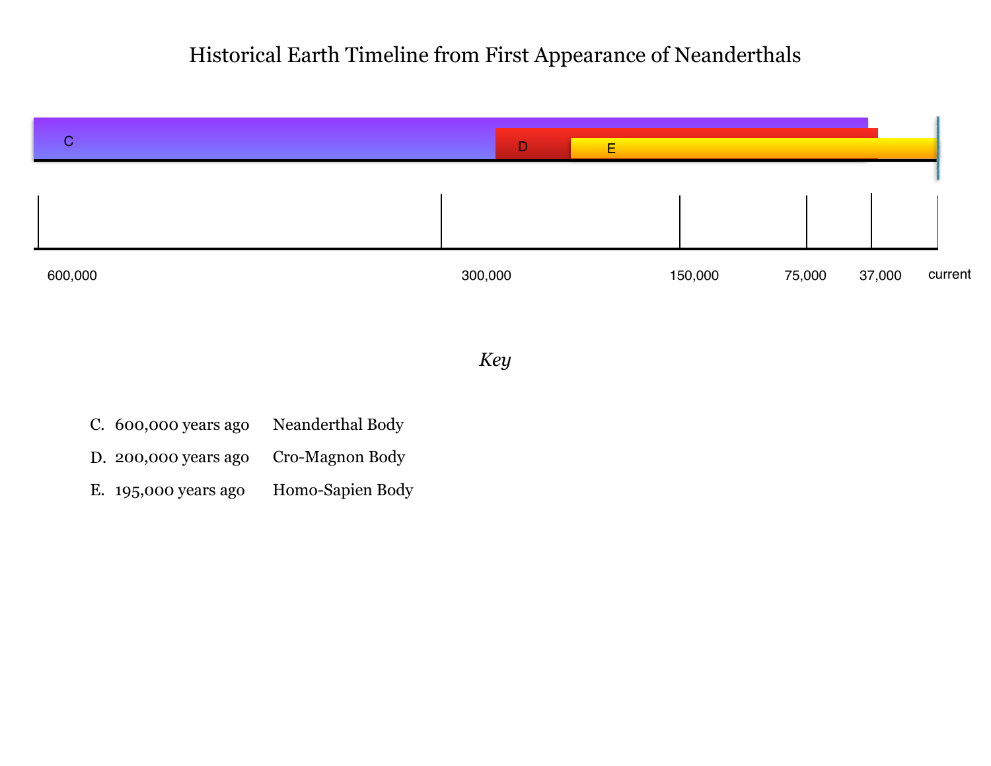### Historical Earth Timeline from First Appearance of Neanderthals



E. 195,000 years ago Homo-Sapien Body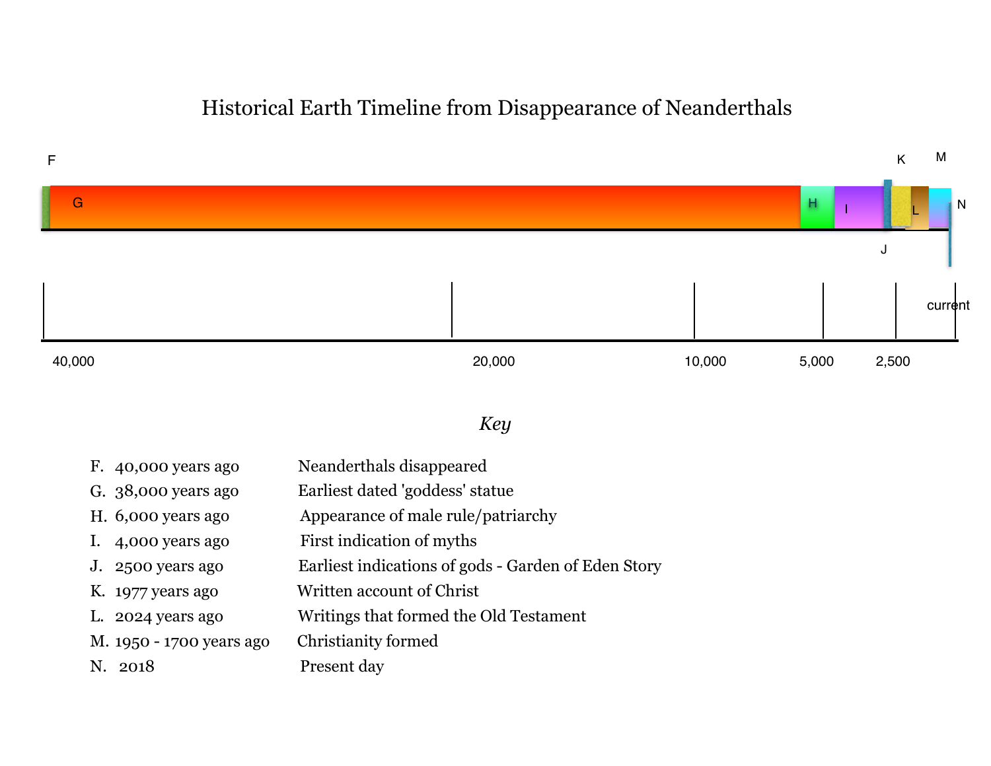#### Historical Earth Timeline from Disappearance of Neanderthals



- H. 6,000 years ago Appearance of male rule/patriarchy
- I. 4,000 years ago First indication of myths
- J. 2500 years ago Earliest indications of gods Garden of Eden Story
- K. 1977 years ago Written account of Christ
- L. 2024 years ago Writings that formed the Old Testament
- M. 1950 1700 years ago Christianity formed
- 
- N. 2018 Present day